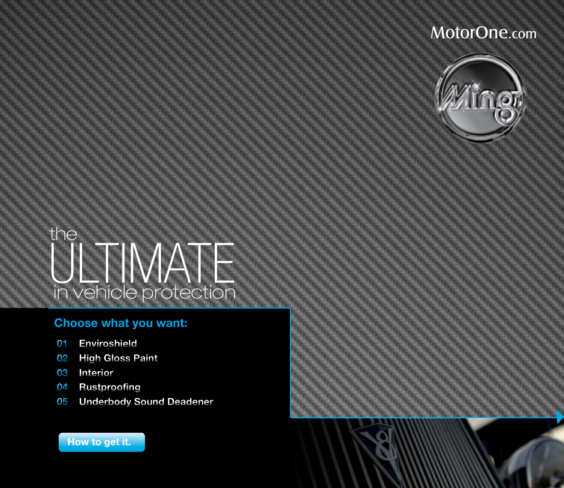

 $\blacktriangleright$ 



### **Choose what you want:**

- **[01 Enviroshield](#page-1-0)**
- **[02 High Gloss Paint](#page-2-0)**
- **[03 Interior](#page-3-0)**
- **[04 Rustproofing](#page-4-0)**
- **[05 Underbody Sound Deadener](#page-5-0)**

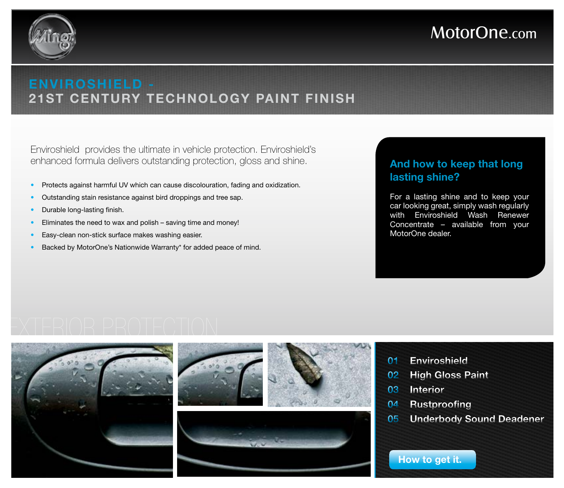<span id="page-1-0"></span>

### **Enviroshield - 21st century technology paint finish**

Enviroshield provides the ultimate in vehicle protection. Enviroshield's enhanced formula delivers outstanding protection, gloss and shine.

- Protects against harmful UV which can cause discolouration, fading and oxidization.
- Outstanding stain resistance against bird droppings and tree sap.
- Durable long-lasting finish.
- Eliminates the need to wax and polish saving time and money!
- Easy-clean non-stick surface makes washing easier.
- Backed by MotorOne's Nationwide Warranty\* for added peace of mind.

### **And how to keep that long lasting shine?**

For a lasting shine and to keep your car looking great, simply wash regularly with Enviroshield Wash Renewer Concentrate – available from your MotorOne dealer.

## exterior protection







- **01 Enviroshield**
- **[02 High Gloss Paint](#page-2-0)**
- **[03 Interior](#page-3-0)**
- **[04 Rustproofing](#page-4-0)**
- **[05 Underbody Sound Deadener](#page-5-0)**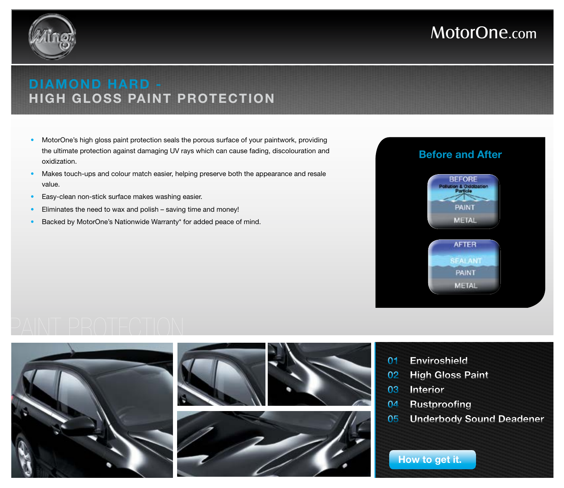<span id="page-2-0"></span>

### **diamond hard high gloss paint protection**

- MotorOne's high gloss paint protection seals the porous surface of your paintwork, providing the ultimate protection against damaging UV rays which can cause fading, discolouration and oxidization.
- Makes touch-ups and colour match easier, helping preserve both the appearance and resale value.
- Easy-clean non-stick surface makes washing easier.
- Eliminates the need to wax and polish saving time and money!
- Backed by MotorOne's Nationwide Warranty\* for added peace of mind.



## paint protection







- **[01 Enviroshield](#page-1-0)**
- **02 High Gloss Paint**
- **[03 Interior](#page-3-0)**
- **[04 Rustproofing](#page-4-0)**
- **[05 Underbody Sound Deadener](#page-5-0)**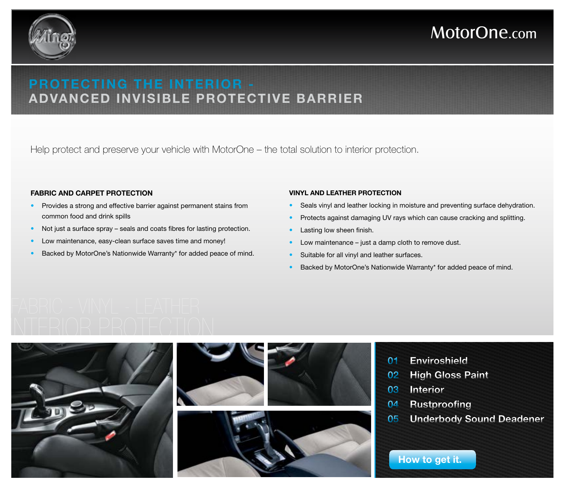<span id="page-3-0"></span>

### **protecting the interior advanced invisible protective barrier**

Help protect and preserve your vehicle with MotorOne – the total solution to interior protection.

### **Fabric and Carpet Protection**

- Provides a strong and effective barrier against permanent stains from common food and drink spills
- Not just a surface spray seals and coats fibres for lasting protection.
- Low maintenance, easy-clean surface saves time and money!
- Backed by MotorOne's Nationwide Warranty\* for added peace of mind.

### **Vinyl and Leather Protection**

- Seals vinyl and leather locking in moisture and preventing surface dehydration.
- Protects against damaging UV rays which can cause cracking and splitting.
- Lasting low sheen finish.
- Low maintenance  $-$  just a damp cloth to remove dust.
- Suitable for all vinyl and leather surfaces.
- Backed by MotorOne's Nationwide Warranty\* for added peace of mind.

# interior protection







- **[01 Enviroshield](#page-1-0)**
- **[02 High Gloss Paint](#page-2-0)**
- **03 Interior**
- **[04 Rustproofing](#page-4-0)**
- **[05 Underbody Sound Deadener](#page-5-0)**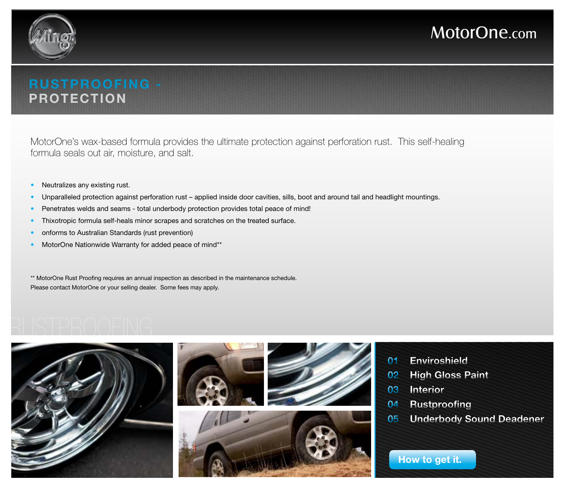<span id="page-4-0"></span>

### **rustproofing protection**

MotorOne's wax-based formula provides the ultimate protection against perforation rust. This self-healing formula seals out air, moisture, and salt.

- Neutralizes any existing rust.
- Unparalleled protection against perforation rust applied inside door cavities, sills, boot and around tail and headlight mountings.
- Penetrates welds and seams total underbody protection provides total peace of mind!
- Thixotropic formula self-heals minor scrapes and scratches on the treated surface.
- onforms to Australian Standards (rust prevention)
- MotorOne Nationwide Warranty for added peace of mind\*\*

\*\* MotorOne Rust Proofing requires an annual inspection as described in the maintenance schedule. Please contact MotorOne or your selling dealer. Some fees may apply.

## rustproofing









- **[01 Enviroshield](#page-1-0)**
- **[02 High Gloss Paint](#page-2-0)**
- **[03 Interior](#page-3-0)**
- **04 Rustproofing**
- **[05 Underbody Sound Deadener](#page-5-0)**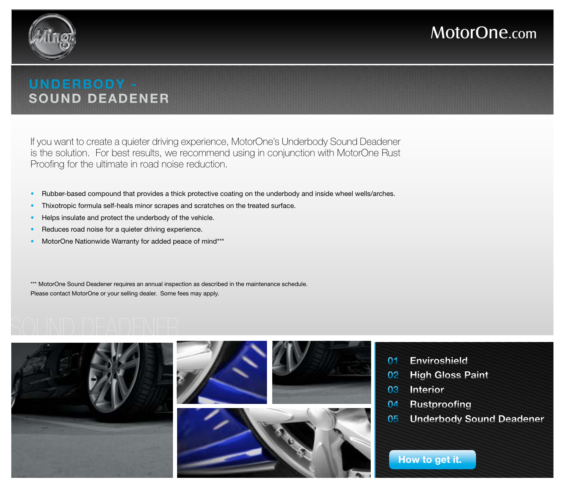<span id="page-5-0"></span>

### **underbody sound deadener**

If you want to create a quieter driving experience, MotorOne's Underbody Sound Deadener is the solution. For best results, we recommend using in conjunction with MotorOne Rust Proofing for the ultimate in road noise reduction.

- Rubber-based compound that provides a thick protective coating on the underbody and inside wheel wells/arches.
- Thixotropic formula self-heals minor scrapes and scratches on the treated surface.
- Helps insulate and protect the underbody of the vehicle.
- Reduces road noise for a quieter driving experience.
- MotorOne Nationwide Warranty for added peace of mind\*\*\*

\*\*\* MotorOne Sound Deadener requires an annual inspection as described in the maintenance schedule. Please contact MotorOne or your selling dealer. Some fees may apply.

## sound deadener







- **[01 Enviroshield](#page-1-0)**
- **[02 High Gloss Paint](#page-2-0)**
- **[03 Interior](#page-3-0)**
- **[04 Rustproofing](#page-4-0)**
- **05 Underbody Sound Deadener**